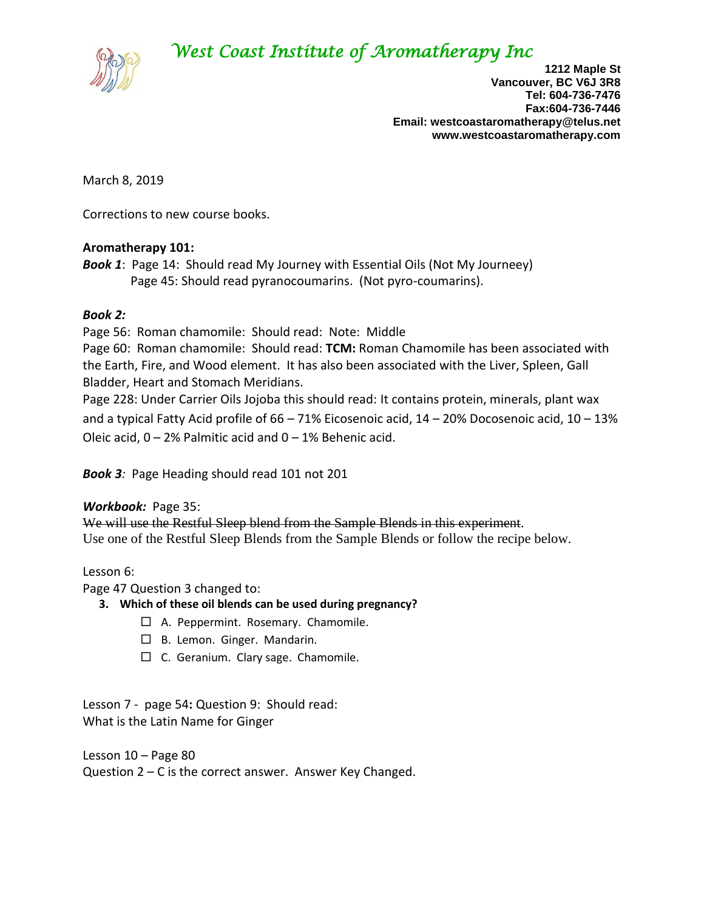# *West Coast Institute of Aromatherapy Inc*



**1212 Maple St Vancouver, BC V6J 3R8 Tel: 604-736-7476 Fax:604-736-7446 Email: westcoastaromatherapy@telus.net www.westcoastaromatherapy.com**

March 8, 2019

Corrections to new course books.

## **Aromatherapy 101:**

*Book 1*: Page 14: Should read My Journey with Essential Oils (Not My Journeey) Page 45: Should read pyranocoumarins. (Not pyro-coumarins).

## *Book 2:*

Page 56: Roman chamomile: Should read: Note: Middle

Page 60: Roman chamomile: Should read: **TCM:** Roman Chamomile has been associated with the Earth, Fire, and Wood element. It has also been associated with the Liver, Spleen, Gall Bladder, Heart and Stomach Meridians.

Page 228: Under Carrier Oils Jojoba this should read: It contains protein, minerals, plant wax and a typical Fatty Acid profile of  $66 - 71\%$  Eicosenoic acid,  $14 - 20\%$  Docosenoic acid,  $10 - 13\%$ Oleic acid,  $0 - 2%$  Palmitic acid and  $0 - 1%$  Behenic acid.

*Book 3:* Page Heading should read 101 not 201

### *Workbook:* Page 35:

We will use the Restful Sleep blend from the Sample Blends in this experiment. Use one of the Restful Sleep Blends from the Sample Blends or follow the recipe below.

# Lesson 6:

Page 47 Question 3 changed to:

- **3. Which of these oil blends can be used during pregnancy?**
	- □ A. Peppermint. Rosemary. Chamomile.
	- □ B. Lemon. Ginger. Mandarin.
	- $\Box$  C. Geranium. Clary sage. Chamomile.

Lesson 7 - page 54**:** Question 9: Should read: What is the Latin Name for Ginger

Lesson 10 – Page 80 Question 2 – C is the correct answer. Answer Key Changed.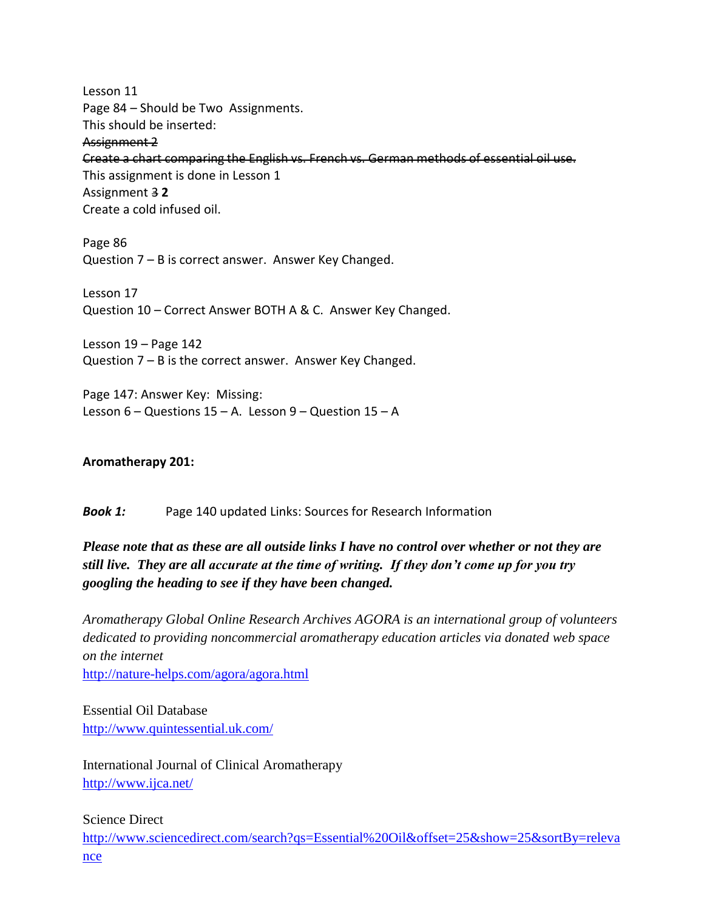Lesson 11 Page 84 – Should be Two Assignments. This should be inserted:

Assignment 2

Create a chart comparing the English vs. French vs. German methods of essential oil use.

This assignment is done in Lesson 1 Assignment 3 **2** Create a cold infused oil.

Page 86 Question 7 – B is correct answer. Answer Key Changed.

Lesson 17 Question 10 – Correct Answer BOTH A & C. Answer Key Changed.

Lesson 19 – Page 142 Question 7 – B is the correct answer. Answer Key Changed.

Page 147: Answer Key: Missing: Lesson  $6$  – Questions  $15$  – A. Lesson  $9$  – Question  $15$  – A

# **Aromatherapy 201:**

*Book 1:* Page 140 updated Links: Sources for Research Information

# *Please note that as these are all outside links I have no control over whether or not they are still live. They are all accurate at the time of writing. If they don't come up for you try googling the heading to see if they have been changed.*

*Aromatherapy Global Online Research Archives AGORA is an international group of volunteers dedicated to providing noncommercial aromatherapy education articles via donated web space on the internet*

<http://nature-helps.com/agora/agora.html>

Essential Oil Database <http://www.quintessential.uk.com/>

International Journal of Clinical Aromatherapy <http://www.ijca.net/>

# Science Direct

[http://www.sciencedirect.com/search?qs=Essential%20Oil&offset=25&show=25&sortBy=releva](http://www.sciencedirect.com/search?qs=Essential%20Oil&offset=25&show=25&sortBy=relevance) [nce](http://www.sciencedirect.com/search?qs=Essential%20Oil&offset=25&show=25&sortBy=relevance)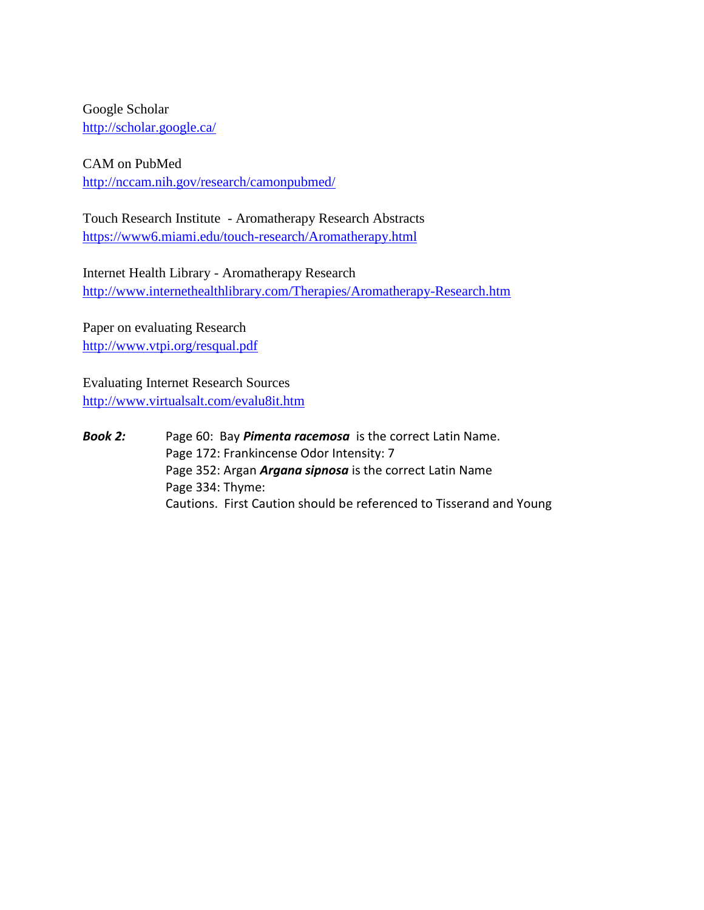Google Scholar <http://scholar.google.ca/>

CAM on PubMed <http://nccam.nih.gov/research/camonpubmed/>

Touch Research Institute - Aromatherapy Research Abstracts <https://www6.miami.edu/touch-research/Aromatherapy.html>

Internet Health Library - Aromatherapy Research <http://www.internethealthlibrary.com/Therapies/Aromatherapy-Research.htm>

Paper on evaluating Research <http://www.vtpi.org/resqual.pdf>

Evaluating Internet Research Sources <http://www.virtualsalt.com/evalu8it.htm>

*Book 2:* Page 60: Bay *Pimenta racemosa* is the correct Latin Name. Page 172: Frankincense Odor Intensity: 7 Page 352: Argan *Argana sipnosa* is the correct Latin Name Page 334: Thyme: Cautions. First Caution should be referenced to Tisserand and Young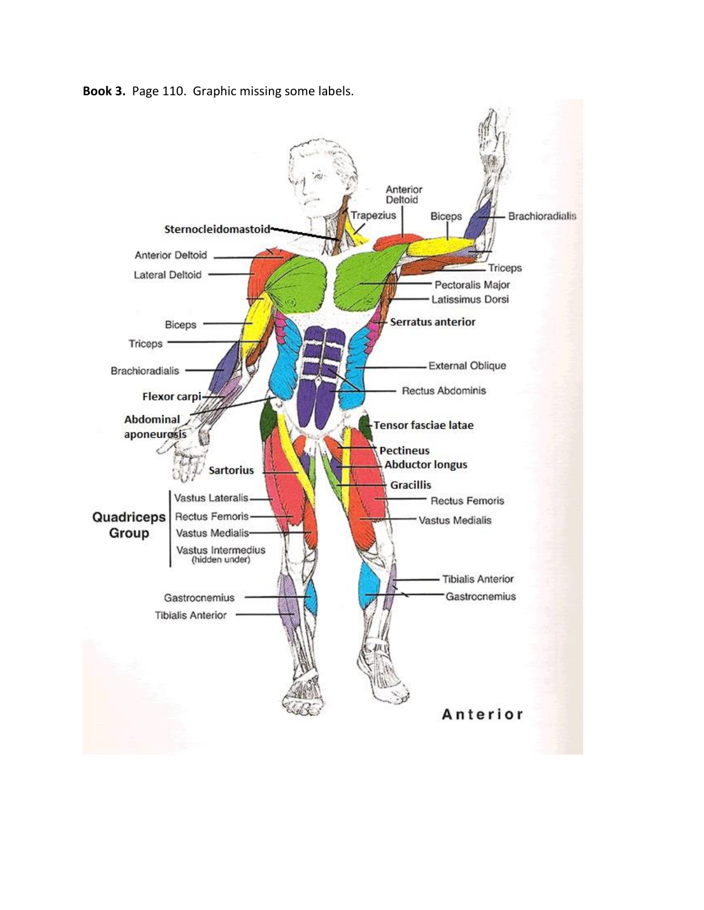